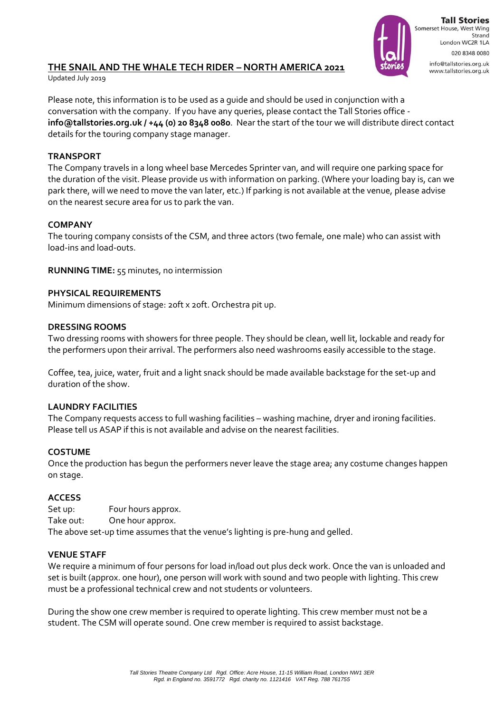

**Tall Stories** Somerset House, West Wing Strand London WC2R 1LA 020 8348 0080 info@tallstories.org.uk www.tallstories.org.uk

# **THE SNAIL AND THE WHALE TECH RIDER – NORTH AMERICA 2021**

Updated July 2019

Please note, this information is to be used as a guide and should be used in conjunction with a conversation with the company. If you have any queries, please contact the Tall Stories office **info@tallstories.org.uk / +44 (0) 20 8348 0080**. Near the start of the tour we will distribute direct contact details for the touring company stage manager.

### **TRANSPORT**

The Company travels in a long wheel base Mercedes Sprinter van, and will require one parking space for the duration of the visit. Please provide us with information on parking. (Where your loading bay is, can we park there, will we need to move the van later, etc.) If parking is not available at the venue, please advise on the nearest secure area for us to park the van.

#### **COMPANY**

The touring company consists of the CSM, and three actors (two female, one male) who can assist with load-ins and load-outs.

**RUNNING TIME:** 55 minutes, no intermission

## **PHYSICAL REQUIREMENTS**

Minimum dimensions of stage: 20ft x 20ft. Orchestra pit up.

#### **DRESSING ROOMS**

Two dressing rooms with showers for three people. They should be clean, well lit, lockable and ready for the performers upon their arrival. The performers also need washrooms easily accessible to the stage.

Coffee, tea, juice, water, fruit and a light snack should be made available backstage for the set-up and duration of the show.

#### **LAUNDRY FACILITIES**

The Company requests access to full washing facilities – washing machine, dryer and ironing facilities. Please tell us ASAP if this is not available and advise on the nearest facilities.

#### **COSTUME**

Once the production has begun the performers never leave the stage area; any costume changes happen on stage.

#### **ACCESS**

Set up: Four hours approx. Take out: One hour approx. The above set-up time assumes that the venue's lighting is pre-hung and gelled.

#### **VENUE STAFF**

We require a minimum of four persons for load in/load out plus deck work. Once the van is unloaded and set is built (approx. one hour), one person will work with sound and two people with lighting. This crew must be a professional technical crew and not students or volunteers.

During the show one crew member is required to operate lighting. This crew member must not be a student. The CSM will operate sound. One crew member is required to assist backstage.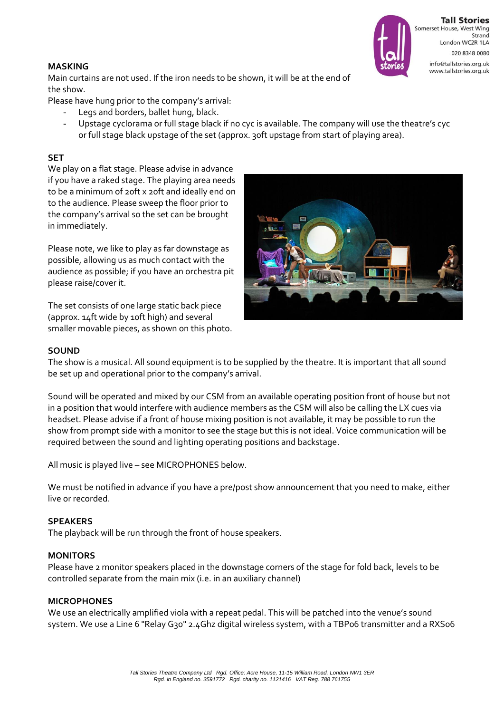

**Tall Stories** Somerset House, West Wing Strand London WC2R 1LA 020 8348 0080 info@tallstories.org.uk www.tallstories.org.uk

#### **MASKING**

Main curtains are not used. If the iron needs to be shown, it will be at the end of the show.

Please have hung prior to the company's arrival:

- Legs and borders, ballet hung, black.
- Upstage cyclorama or full stage black if no cyc is available. The company will use the theatre's cyc or full stage black upstage of the set (approx. 30ft upstage from start of playing area).

# **SET**

We play on a flat stage. Please advise in advance if you have a raked stage. The playing area needs to be a minimum of 20ft x 20ft and ideally end on to the audience. Please sweep the floor prior to the company's arrival so the set can be brought in immediately.

Please note, we like to play as far downstage as possible, allowing us as much contact with the audience as possible; if you have an orchestra pit please raise/cover it.

The set consists of one large static back piece (approx. 14ft wide by 10ft high) and several smaller movable pieces, as shown on this photo.



#### **SOUND**

The show is a musical. All sound equipment is to be supplied by the theatre. It is important that all sound be set up and operational prior to the company's arrival.

Sound will be operated and mixed by our CSM from an available operating position front of house but not in a position that would interfere with audience members as the CSM will also be calling the LX cues via headset. Please advise if a front of house mixing position is not available, it may be possible to run the show from prompt side with a monitor to see the stage but this is not ideal. Voice communication will be required between the sound and lighting operating positions and backstage.

All music is played live – see MICROPHONES below.

We must be notified in advance if you have a pre/post show announcement that you need to make, either live or recorded.

#### **SPEAKERS**

The playback will be run through the front of house speakers.

#### **MONITORS**

Please have 2 monitor speakers placed in the downstage corners of the stage for fold back, levels to be controlled separate from the main mix (i.e. in an auxiliary channel)

#### **MICROPHONES**

We use an electrically amplified viola with a repeat pedal. This will be patched into the venue's sound system. We use a Line 6 "Relay G30" 2.4Ghz digital wireless system, with a TBP06 transmitter and a RXS06